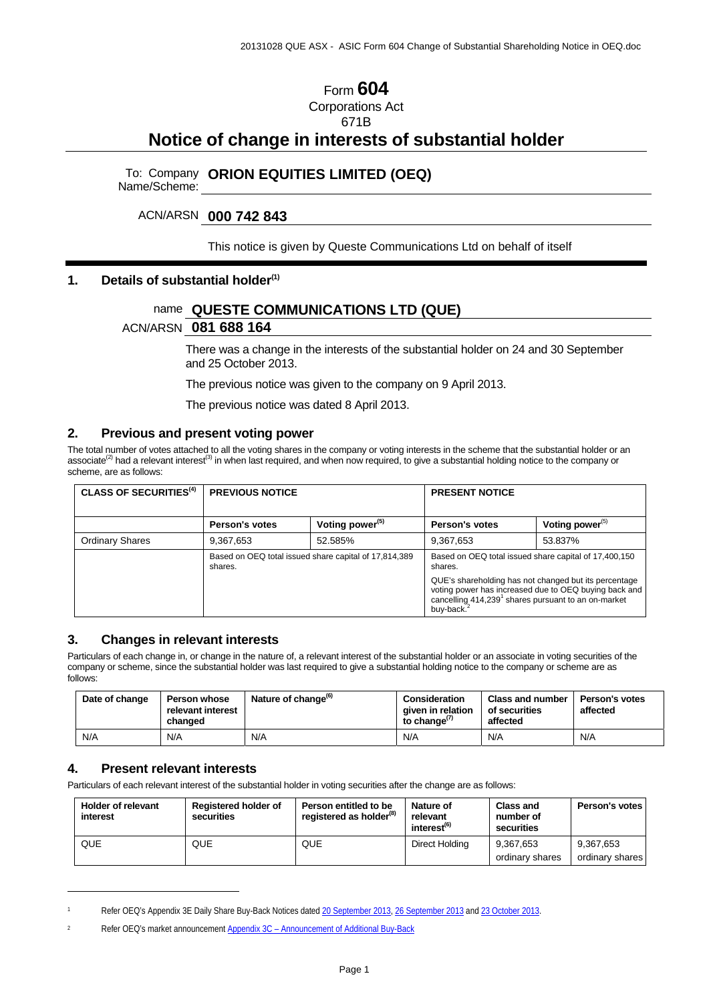## Form **604** Corporations Act 671B

# **Notice of change in interests of substantial holder**

# To: Company Name/Scheme: **ORION EQUITIES LIMITED (OEQ)**

#### ACN/ARSN **000 742 843**

This notice is given by Queste Communications Ltd on behalf of itself

#### **1. Details of substantial holder(1)**

## name **QUESTE COMMUNICATIONS LTD (QUE)**

#### ACN/ARSN **081 688 164**

There was a change in the interests of the substantial holder on 24 and 30 September and 25 October 2013.

The previous notice was given to the company on 9 April 2013.

The previous notice was dated 8 April 2013.

#### **2. Previous and present voting power**

The total number of votes attached to all the voting shares in the company or voting interests in the scheme that the substantial holder or an associate<sup>(2)</sup> had a relevant interest<sup>(3)</sup> in when last required, and when now required, to give a substantial holding notice to the company or scheme, are as follows:

| <b>CLASS OF SECURITIES<sup>(4)</sup></b> | <b>PREVIOUS NOTICE</b>                                           |                             | <b>PRESENT NOTICE</b>                                                        |                                                                                                                |  |
|------------------------------------------|------------------------------------------------------------------|-----------------------------|------------------------------------------------------------------------------|----------------------------------------------------------------------------------------------------------------|--|
|                                          | Person's votes                                                   | Voting power <sup>(5)</sup> | Person's votes                                                               | Voting power $^{(5)}$                                                                                          |  |
| <b>Ordinary Shares</b>                   | 9,367,653                                                        | 52.585%                     | 9,367,653                                                                    | 53.837%                                                                                                        |  |
|                                          | Based on OEQ total issued share capital of 17,814,389<br>shares. |                             | Based on OEQ total issued share capital of 17,400,150<br>shares.             |                                                                                                                |  |
|                                          |                                                                  |                             | cancelling 414,239 <sup>1</sup> shares pursuant to an on-market<br>buy-back. | QUE's shareholding has not changed but its percentage<br>voting power has increased due to OEQ buying back and |  |

#### **3. Changes in relevant interests**

Particulars of each change in, or change in the nature of, a relevant interest of the substantial holder or an associate in voting securities of the company or scheme, since the substantial holder was last required to give a substantial holding notice to the company or scheme are as follows:

| Date of change | <b>Person whose</b><br>relevant interest<br>changed | Nature of change <sup>(b)</sup> | <b>Consideration</b><br>given in relation<br>to change $^{(7)}$ | <b>Class and number</b><br>of securities<br>affected | Person's votes<br>affected |
|----------------|-----------------------------------------------------|---------------------------------|-----------------------------------------------------------------|------------------------------------------------------|----------------------------|
| N/A            | N/A                                                 | N/A                             | N/A                                                             | N/A                                                  | N/A                        |

#### **4. Present relevant interests**

 $\ddot{\phantom{a}}$ 

Particulars of each relevant interest of the substantial holder in voting securities after the change are as follows:

| <b>Holder of relevant</b><br>interest | <b>Registered holder of</b><br>securities | Person entitled to be<br>registered as holder <sup>(8)</sup> | Nature of<br>relevant<br>interest <sup>(6)</sup> | <b>Class and</b><br>number of<br>securities | Person's votes               |
|---------------------------------------|-------------------------------------------|--------------------------------------------------------------|--------------------------------------------------|---------------------------------------------|------------------------------|
| QUE                                   | QUE                                       | QUE                                                          | Direct Holding                                   | 9.367.653<br>ordinary shares                | 9,367,653<br>ordinary shares |

<sup>1</sup> Refer OEQ's Appendix 3E Daily Share Buy-Back Notices dated 20 September 2013, 26 September 2013 and 23 October 2013.

<sup>2</sup> Refer OEQ's market announcement Appendix 3C – Announcement of Additional Buy-Back